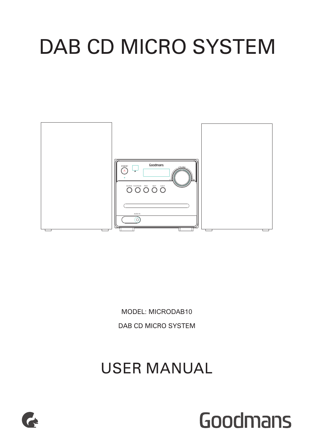# DAB CD MICRO SYSTEM



MODEL: MICRODAB10 DAB CD MICRO SYSTEM

USER MANUAL



# Goodmans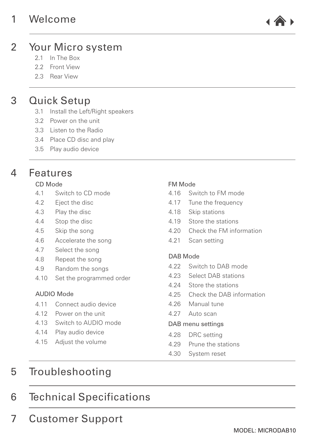# 1 [Welcome](#page-2-0)



#### Your Micro system  $\mathfrak{D}$

- 2.1 [In The Box](#page-2-0)
- 2.2 [Front View](#page-2-0)
- 2.3 Rear [View](#page-3-0)

# 3 [Quick Setup](#page-4-0)

- 3.1 [Install the Left/Right speakers](#page-5-0)
- 3.2 [Power on the unit](#page-5-0)
- 3.3 [Listen to the Radio](#page-5-0)
- 3.4 [Place CD disc and play](#page-5-0)
- 3.5 [Play audio device](#page-5-0)

# 4 [Features](#page-6-0)

### [CD Mode](#page-6-0)

- 4.1 Switch to [CD mode](#page-6-0)
- 4.2 [Eject the disc](#page-6-0)
- 4.3 [Play the disc](#page-6-0)
- 4.4 [Stop the disc](#page-6-0)
- 4.5 [Skip the song](#page-6-0)
- 4.6 [Accelerate the song](#page-6-0)
- 4.7 [Select the song](#page-6-0)
- 4.8 [Repeat the song](#page-6-0)
- 4.9 [Random the songs](#page-6-0)
- 4.10 [Set the programmed order](#page-6-0)

### [AUDIO Mode](#page-7-0)

- 4.11 [Connect audio device](#page-7-0)
- 4.12 [Power on the unit](#page-7-0)
- 4.13 [Switch to AUDIO mode](#page-7-0)
- 4.14 [Play audio device](#page-7-0)
- 4.15 [Adjust the volume](#page-7-0)

### [FM Mode](#page-6-0)

- 4.16 Switch to [FM mode](#page-7-0)
- 4.17 [Tune the frequency](#page-7-0)
- 4.18 [Skip stations](#page-7-0)
- 4.19 [Store the stations](#page-7-0)
- 4.20 [Check the FM information](#page-7-0)
- 4.21 [Scan setting](#page-7-0)

### [DAB Mode](#page-8-0)

- 4.22 Switch to [DAB mode](#page-8-0)
- 4.23 [Select DAB stations](#page-8-0)
- 4.24 [Store the stations](#page-8-0)
- 4.25 [Check the DAB information](#page-8-0)
- 4.26 [Manual tune](#page-8-0)
- 4.27 [Auto scan](#page-8-0)

### [DAB menu settings](#page-9-0)

- 4.28 [DRC setting](#page-9-0)
- 4.29 [Prune the stations](#page-9-0)
- 4.30 [System reset](#page-9-0)

# 5 [Troubleshooting](#page-10-0)

# 6 Technical [Specifications](#page-11-0)

7 [Customer Support](#page-11-0)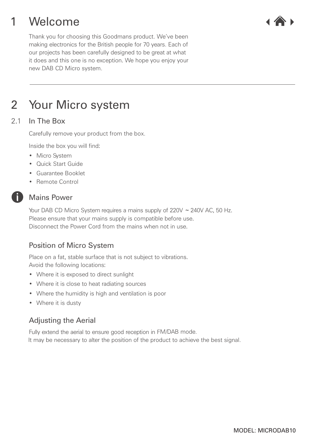### <span id="page-2-0"></span>Welcome 1



Thank you for choosing this Goodmans product. We've been making electronics for the British people for 70 years. Each of our projects has been carefully designed to be great at what it does and this one is no exception. We hope you enjoy your new DAB CD Micro system.

# 2 Your Micro system

#### In The Box 2.1

Carefully remove your product from the box.

Inside the box you will find:

- Micro System
- Quick Start Guide
- Guarantee Booklet
- Remote Control

### Mains Power

Please ensure that your mains supply is compatible before use. Disconnect the Power Cord from the mains when not in use. Your DAB CD Micro System requires a mains supply of 220V ~ 240V AC, 50 Hz.

# Position of Micro System

Place on a fat, stable surface that is not subject to vibrations. Avoid the following locations:

- Where it is exposed to direct sunlight
- Where it is close to heat radiating sources
- Where the humidity is high and ventilation is poor
- Where it is dusty

# Adjusting the Aerial

Fully extend the aerial to ensure good reception in F M/DAB mode.

It may be necessary to alter the position of the product to achieve the best signal.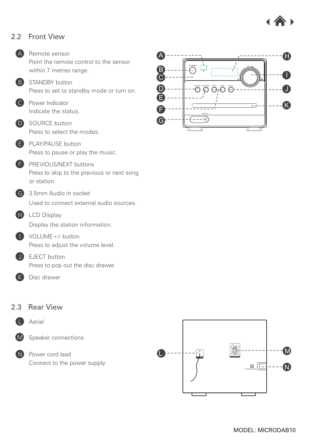

#### <span id="page-3-0"></span>Front View 2.2



#### Rear View 2.3



Aerial



Speaker connections

N Power cord lead Connect to the power supply.



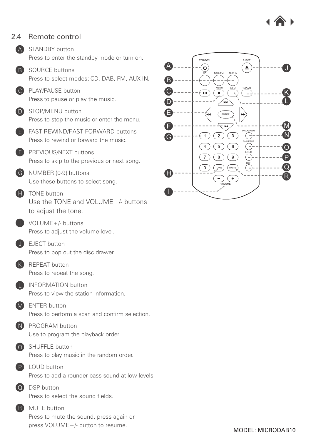

#### <span id="page-4-0"></span>Remote control 2.4

A STANDBY button Press to enter the standby mode or turn on.

**B** SOURCE buttons Press to select modes: CD, DAB, FM, AUX IN.

C PLAY/PAUSE button Press to pause or play the music.

D STOP/MENU button Press to stop the music or enter the menu.



F PREVIOUS/NEXT buttons Press to skip to the previous or next song.

G NUMBER (0-9) buttons Use these buttons to select song.

**H** TONE button Use the TONE and VOLUME+/- buttons to adjust the tone.

I VOLUME+/- buttons Press to adjust the volume level.

J EJECT button Press to pop out the disc drawer.

K REPEAT button Press to repeat the song.

**L** INFORMATION button Press to view the station information.

M ENTER button Press to perform a scan and confirm selection.



N PROGRAM button Use to program the playback order.



O SHUFFLE button Press to play music in the random order.

P LOUD button Press to add a rounder bass sound at low levels.

Q DSP button Press to select the sound fields.

**R** MUTE button Press to mute the sound, press again or press VOLUME+/- button to resume.

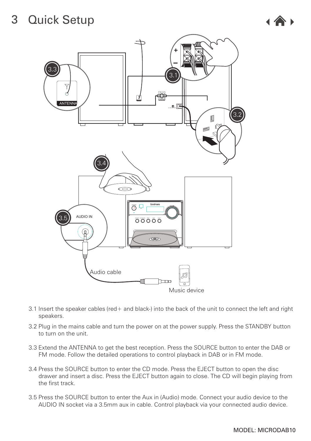

<span id="page-5-0"></span>

- 3.1 Insert the speaker cables (red+ and black-) into the back of the unit to connect the left and right speakers.
- 3.2 Plug in the mains cable and turn the power on at the power supply. Press the STANDBY button to turn on the unit.
- 3.3 Extend the ANTENNA to get the best reception. Press the SOURCE button to enter the DAB or FM mode. Follow the detailed operations to control playback in DAB or in FM mode.
- 3.4 Press the SOURCE button to enter the CD mode. Press the EJECT button to open the disc drawer and insert a disc. Press the EJECT button again to close. The CD will begin playing from the first track.
- 3.5 Press the SOURCE button to enter the Aux in (Audio) mode. Connect your audio device to the AUDIO IN socket via a 3.5mm aux in cable. Control playback via your connected audio device.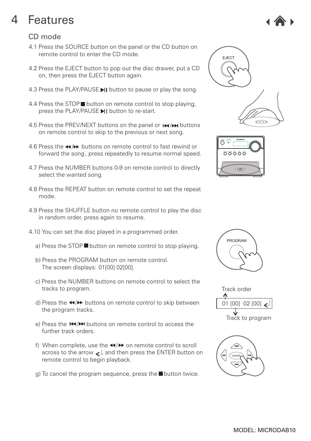# <span id="page-6-0"></span>CD mode

- 4.1 Press the SOURCE button on the panel or the CD button on remote control to enter the CD mode.
- 4.2 Press the EJECT button to pop out the disc drawer, put a CD on, then press the EJECT button again.
- 4.3 Press the PLAY/PAUSE II button to pause or play the song.
- 4.4 Press the STOP button on remote control to stop playing. press the PLAY/PAUSE I button to re-start.
- 4.5 Press the PREV/NEXT buttons on the panel or  $\text{H}(A)$  buttons on remote control to skip to the previous or next song.
- 4.6 Press the  $\leftrightarrow$  buttons on remote control to fast rewind or forward the song, press repeatedly to resume normal speed.
- 4.7 Press the NUMBER buttons 0-9 on remote control to directly select the wanted song.
- 4.8 Press the REPEAT button on remote control to set the repeat mode.
- 4.9 Press the SHUFFLE button no remote control to play the disc in random order, press again to resume.
- 4.10 You can set the disc played in a programmed order.
	- a) Press the STOP button on remote control to stop playing.
	- b) Press the PROGRAM button on remote control. The screen displays: 01[00] 02[00].
	- c) Press the NUMBER buttons on remote control to select the tracks to program.
	- d) Press the  $\triangleleft$   $\blacktriangleright$  buttons on remote control to skip between the program tracks.
	- e) Press the  $\blacktriangleright$   $\blacktriangleright$   $\blacktriangleright$  buttons on remote control to access the further track orders.
	- f) When complete, use the  $\triangleleft$  / $\triangleright$  on remote control to scroll across to the arrow  $\leq$ , and then press the ENTER button on remote control to begin playback.
	- $g$ ) To cancel the program sequence, press the **button twice.**











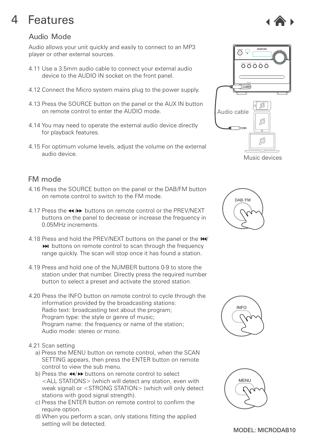# <span id="page-7-0"></span>Audio Mode

Audio allows your unit quickly and easily to connect to an MP3 player or other external sources.

- 4.11 Use a 3.5mm audio cable to connect your external audio device to the AUDIO IN socket on the front panel.
- 4.12 Connect the Micro system mains plug to the power supply.
- 4.13 Press the SOURCE button on the panel or the AUX IN button on remote control to enter the AUDIO mode.
- 4.14 You may need to operate the external audio device directly for playback features.
- 4.15 For optimum volume levels, adjust the volume on the external audio device.

# FM mode

- 4.16 Press the SOURCE button on the panel or the DAB/FM button on remote control to switch to the FM mode.
- 4.17 Press the  $\leftrightarrow$  buttons on remote control or the PREV/NEXT buttons on the panel to decrease or increase the frequency in 0.05MHz increments.
- 4.18 Press and hold the PREV/NEXT buttons on the panel or the  $H$ /  $\blacktriangleright$  buttons on remote control to scan through the frequency range quickly. The scan will stop once it has found a station.
- 4.19 Press and hold one of the NUMBER buttons 0-9 to store the station under that number. Directly press the required number button to select a preset and activate the stored station.
- 4.20 Press the INFO button on remote control to cycle through the information provided by the broadcasting stations: Radio text: broadcasting text about the program; Program type: the style or genre of music: Program name: the frequency or name of the station; Audio mode: stereo or mono.
- 4.21 Scan setting
	- a) Press the MENU button on remote control, when the SCAN SETTING appears, then press the ENTER button on remote control to view the sub menu.
	- b) Press the 44/ $\blacktriangleright$  buttons on remote control to select <ALL STATIONS> (which will detect any station, even with weak signal) or <STRONG STATION> (which will only detect stations with good signal strength).
	- c) Press the ENTER button on remote control to confirm the require option.
	- d) When you perform a scan, only stations fitting the applied setting will be detected.



Music devices





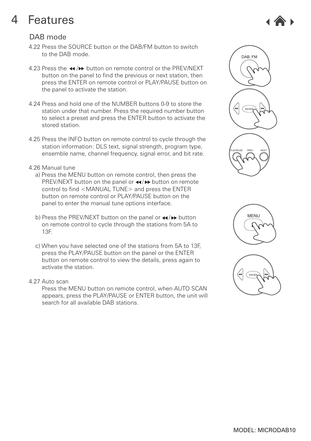# <span id="page-8-0"></span>DAB mode

- 4.22 Press the SOURCE button or the DAB/FM button to switch to the DAB mode.
- 4.23 Press the  $\leftrightarrow$  / $\leftrightarrow$  button on remote control or the PREV/NEXT button on the panel to find the previous or next station, then press the ENTER on remote control or PLAY/PAUSE button on the panel to activate the station.
- 4.24 Press and hold one of the NUMBER buttons 0-9 to store the station under that number. Press the required number button to select a preset and press the ENTER button to activate the stored station.
- 4.25 Press the INFO button on remote control to cycle through the station information: DLS text, signal strength, program type, ensemble name, channel frequency, signal error, and bit rate.

### 4.26 Manual tune

- a) Press the MENU button on remote control, then press the PREV/NEXT button on the panel or  $\leftrightarrow$  button on remote control to find <MANUAL TUNE> and press the ENTER button on remote control or PLAY/PAUSE button on the panel to enter the manual tune options interface.
- b) Press the PREV/NEXT button on the panel or  $\leftrightarrow$  button on remote control to cycle through the stations from 5A to 13F.
- c) When you have selected one of the stations from 5A to 13F, press the PLAY/PAUSE button on the panel or the ENTER button on remote control to view the details, press again to activate the station.
- 4.27 Auto scan

 Press the MENU button on remote control, when AUTO SCAN appears, press the PLAY/PAUSE or ENTER button, the unit will search for all available DAB stations.







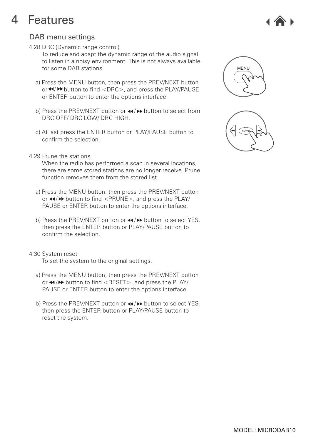

# <span id="page-9-0"></span>DAB menu settings

4.28 DRC (Dynamic range control)

 To reduce and adapt the dynamic range of the audio signal to listen in a noisy environment. This is not always available for some DAB stations.

- a) Press the MENU button, then press the PREV/NEXT button or  $\blacktriangleleft$ / $\blacktriangleright$  button to find <DRC>, and press the PLAY/PAUSE or ENTER button to enter the options interface.
- b) Press the PREV/NEXT button or  $\leftrightarrow$  button to select from DRC OFF/ DRC LOW/ DRC HIGH.
- c) At last press the ENTER button or PLAY/PAUSE button to confirm the selection.
- 4.29 Prune the stations

 When the radio has performed a scan in several locations, there are some stored stations are no longer receive. Prune function removes them from the stored list.

- a) Press the MENU button, then press the PREV/NEXT button or  $\leftrightarrow$  button to find <PRUNE>, and press the PLAY/ PAUSE or ENTER button to enter the options interface.
- b) Press the PREV/NEXT button or  $\triangleleft$  / $\triangleright$  button to select YES. then press the ENTER button or PLAY/PAUSE button to confirm the selection.

### 4.30 System reset

To set the system to the original settings.

- a) Press the MENU button, then press the PREV/NEXT button or  $\triangleleft$ / $\triangleright$  button to find <RESET>, and press the PLAY/ PAUSE or ENTER button to enter the options interface.
- b) Press the PREV/NEXT button or  $\leftrightarrow$  button to select YES. then press the ENTER button or PLAY/PAUSE button to reset the system.



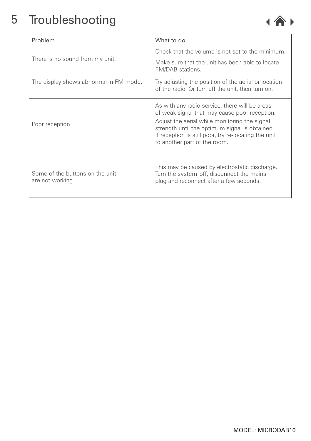

<span id="page-10-0"></span>

| Problem                                             | What to do                                                                                                                                                                                                                                                                                 |
|-----------------------------------------------------|--------------------------------------------------------------------------------------------------------------------------------------------------------------------------------------------------------------------------------------------------------------------------------------------|
| There is no sound from my unit.                     | Check that the volume is not set to the minimum.                                                                                                                                                                                                                                           |
|                                                     | Make sure that the unit has been able to locate<br>FM/DAB stations.                                                                                                                                                                                                                        |
| The display shows abnormal in FM mode.              | Try adjusting the position of the aerial or location<br>of the radio. Or turn off the unit, then turn on.                                                                                                                                                                                  |
| Poor reception                                      | As with any radio service, there will be areas<br>of weak signal that may cause poor reception.<br>Adjust the aerial while monitoring the signal<br>strength until the optimum signal is obtained.<br>If reception is still poor, try re-locating the unit<br>to another part of the room. |
| Some of the buttons on the unit<br>are not working. | This may be caused by electrostatic discharge.<br>Turn the system off, disconnect the mains<br>plug and reconnect after a few seconds.                                                                                                                                                     |